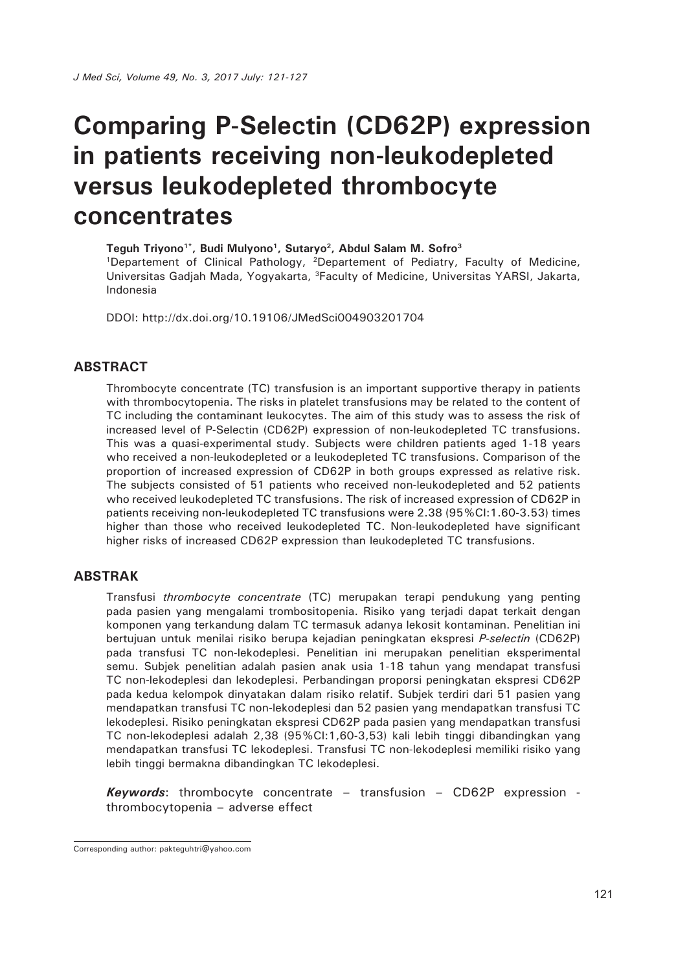# **Comparing P-Selectin (CD62P) expression in patients receiving non-leukodepleted versus leukodepleted thrombocyte concentrates**

Teguh Trivono<sup>1\*</sup>, Budi Mulyono<sup>1</sup>, Sutaryo<sup>2</sup>, Abdul Salam M. Sofro<sup>3</sup>

1Departement of Clinical Pathology, 2Departement of Pediatry, Faculty of Medicine, Universitas Gadjah Mada, Yogyakarta, 3Faculty of Medicine, Universitas YARSI, Jakarta, Indonesia

DDOI: http://dx.doi.org/10.19106/JMedSci004903201704

#### **ABSTRACT**

Thrombocyte concentrate (TC) transfusion is an important supportive therapy in patients with thrombocytopenia. The risks in platelet transfusions may be related to the content of TC including the contaminant leukocytes. The aim of this study was to assess the risk of increased level of P-Selectin (CD62P) expression of non-leukodepleted TC transfusions. This was a quasi-experimental study. Subjects were children patients aged 1-18 years who received a non-leukodepleted or a leukodepleted TC transfusions. Comparison of the proportion of increased expression of CD62P in both groups expressed as relative risk. The subjects consisted of 51 patients who received non-leukodepleted and 52 patients who received leukodepleted TC transfusions. The risk of increased expression of CD62P in patients receiving non-leukodepleted TC transfusions were 2.38 (95%CI:1.60-3.53) times higher than those who received leukodepleted TC. Non-leukodepleted have significant higher risks of increased CD62P expression than leukodepleted TC transfusions.

#### **ABSTRAK**

Transfusi *thrombocyte concentrate* (TC) merupakan terapi pendukung yang penting pada pasien yang mengalami trombositopenia. Risiko yang terjadi dapat terkait dengan komponen yang terkandung dalam TC termasuk adanya lekosit kontaminan. Penelitian ini bertujuan untuk menilai risiko berupa kejadian peningkatan ekspresi *P-selectin* (CD62P) pada transfusi TC non-lekodeplesi. Penelitian ini merupakan penelitian eksperimental semu. Subjek penelitian adalah pasien anak usia 1-18 tahun yang mendapat transfusi TC non-lekodeplesi dan lekodeplesi. Perbandingan proporsi peningkatan ekspresi CD62P pada kedua kelompok dinyatakan dalam risiko relatif. Subjek terdiri dari 51 pasien yang mendapatkan transfusi TC non-lekodeplesi dan 52 pasien yang mendapatkan transfusi TC lekodeplesi. Risiko peningkatan ekspresi CD62P pada pasien yang mendapatkan transfusi TC non-lekodeplesi adalah 2,38 (95%CI:1,60-3,53) kali lebih tinggi dibandingkan yang mendapatkan transfusi TC lekodeplesi. Transfusi TC non-lekodeplesi memiliki risiko yang lebih tinggi bermakna dibandingkan TC lekodeplesi.

*Keywords*: thrombocyte concentrate – transfusion – CD62P expression thrombocytopenia – adverse effect

Corresponding author: pakteguhtri@yahoo.com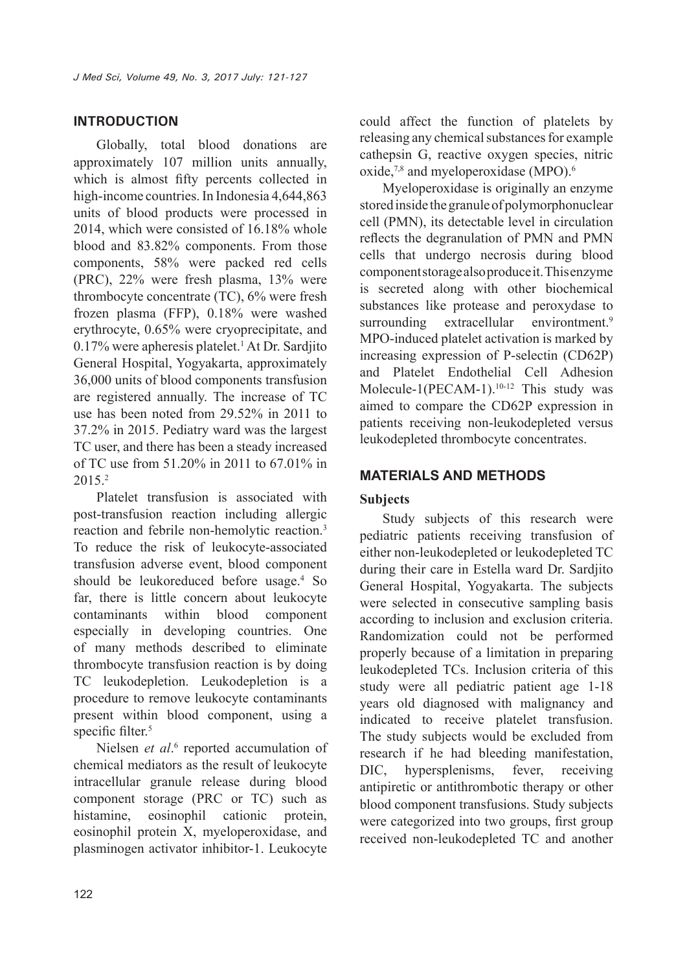## **INTRODUCTION**

Globally, total blood donations are approximately 107 million units annually, which is almost fifty percents collected in high-income countries. In Indonesia 4,644,863 units of blood products were processed in 2014, which were consisted of 16.18% whole blood and 83.82% components. From those components, 58% were packed red cells (PRC), 22% were fresh plasma, 13% were thrombocyte concentrate (TC), 6% were fresh frozen plasma (FFP), 0.18% were washed erythrocyte, 0.65% were cryoprecipitate, and 0.17% were apheresis platelet.<sup>1</sup> At Dr. Sardjito General Hospital, Yogyakarta, approximately 36,000 units of blood components transfusion are registered annually. The increase of TC use has been noted from 29.52% in 2011 to 37.2% in 2015. Pediatry ward was the largest TC user, and there has been a steady increased of TC use from 51.20% in 2011 to 67.01% in 2015.2

Platelet transfusion is associated with post-transfusion reaction including allergic reaction and febrile non-hemolytic reaction.<sup>3</sup> To reduce the risk of leukocyte-associated transfusion adverse event, blood component should be leukoreduced before usage.<sup>4</sup> So far, there is little concern about leukocyte contaminants within blood component especially in developing countries. One of many methods described to eliminate thrombocyte transfusion reaction is by doing TC leukodepletion. Leukodepletion is a procedure to remove leukocyte contaminants present within blood component, using a specific filter.<sup>5</sup>

Nielsen et al.<sup>6</sup> reported accumulation of chemical mediators as the result of leukocyte intracellular granule release during blood component storage (PRC or TC) such as histamine, eosinophil cationic protein, eosinophil protein X, myeloperoxidase, and plasminogen activator inhibitor-1. Leukocyte

could affect the function of platelets by releasing any chemical substances for example cathepsin G, reactive oxygen species, nitric oxide,<sup>7,8</sup> and myeloperoxidase (MPO).<sup>6</sup>

Myeloperoxidase is originally an enzyme stored inside the granule of polymorphonuclear cell (PMN), its detectable level in circulation reflects the degranulation of PMN and PMN cells that undergo necrosis during blood component storage also produce it. This enzyme is secreted along with other biochemical substances like protease and peroxydase to surrounding extracellular environtment.<sup>9</sup> MPO-induced platelet activation is marked by increasing expression of P-selectin (CD62P) and Platelet Endothelial Cell Adhesion Molecule-1(PECAM-1).<sup>10-12</sup> This study was aimed to compare the CD62P expression in patients receiving non-leukodepleted versus leukodepleted thrombocyte concentrates.

## **MATERIALS AND METHODS**

## **Subjects**

Study subjects of this research were pediatric patients receiving transfusion of either non-leukodepleted or leukodepleted TC during their care in Estella ward Dr. Sardjito General Hospital, Yogyakarta. The subjects were selected in consecutive sampling basis according to inclusion and exclusion criteria. Randomization could not be performed properly because of a limitation in preparing leukodepleted TCs. Inclusion criteria of this study were all pediatric patient age 1-18 years old diagnosed with malignancy and indicated to receive platelet transfusion. The study subjects would be excluded from research if he had bleeding manifestation, DIC, hypersplenisms, fever, receiving antipiretic or antithrombotic therapy or other blood component transfusions. Study subjects were categorized into two groups, first group received non-leukodepleted TC and another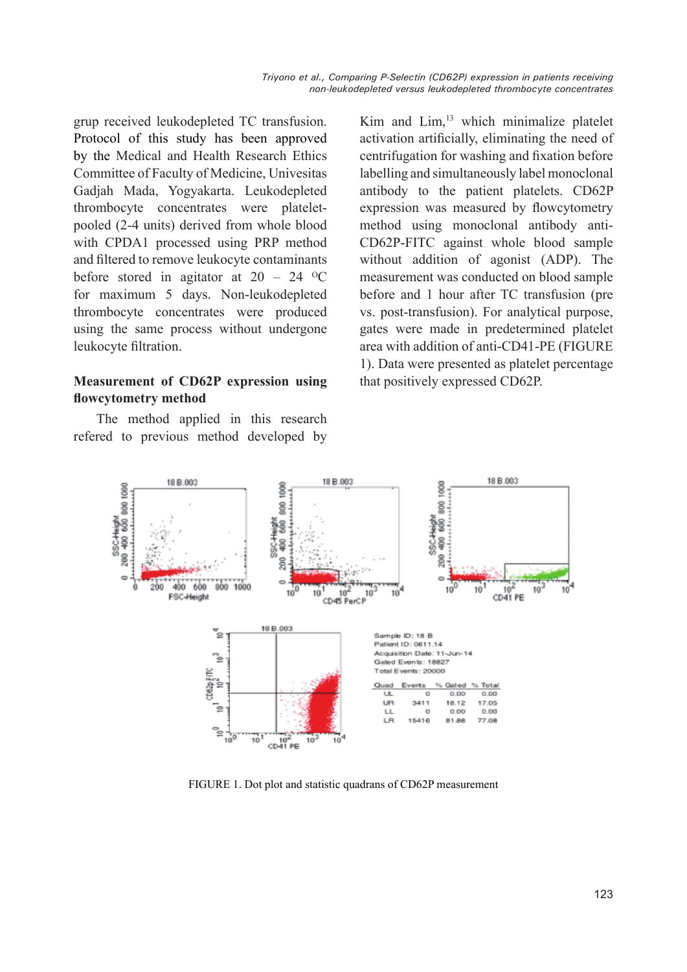grup received leukodepleted TC transfusion. Protocol of this study has been approved by the Medical and Health Research Ethics Committee of Faculty of Medicine, Univesitas Gadjah Mada, Yogyakarta. Leukodepleted thrombocyte concentrates were plateletpooled (2-4 units) derived from whole blood with CPDA1 processed using PRP method and filtered to remove leukocyte contaminants before stored in agitator at  $20 - 24$  <sup>o</sup>C for maximum 5 days. Non-leukodepleted thrombocyte concentrates were produced using the same process without undergone leukocyte filtration.

## **Measurement of CD62P expression using flowcytometry method**

The method applied in this research refered to previous method developed by Kim and Lim,<sup>13</sup> which minimalize platelet activation artificially, eliminating the need of centrifugation for washing and fixation before labelling and simultaneously label monoclonal antibody to the patient platelets. CD62P expression was measured by flowcytometry method using monoclonal antibody anti-CD62P-FITC against whole blood sample without addition of agonist (ADP). The measurement was conducted on blood sample before and 1 hour after TC transfusion (pre vs. post-transfusion). For analytical purpose, gates were made in predetermined platelet area with addition of anti-CD41-PE (FIGURE 1). Data were presented as platelet percentage that positively expressed CD62P.



FIGURE 1. Dot plot and statistic quadrans of CD62P measurement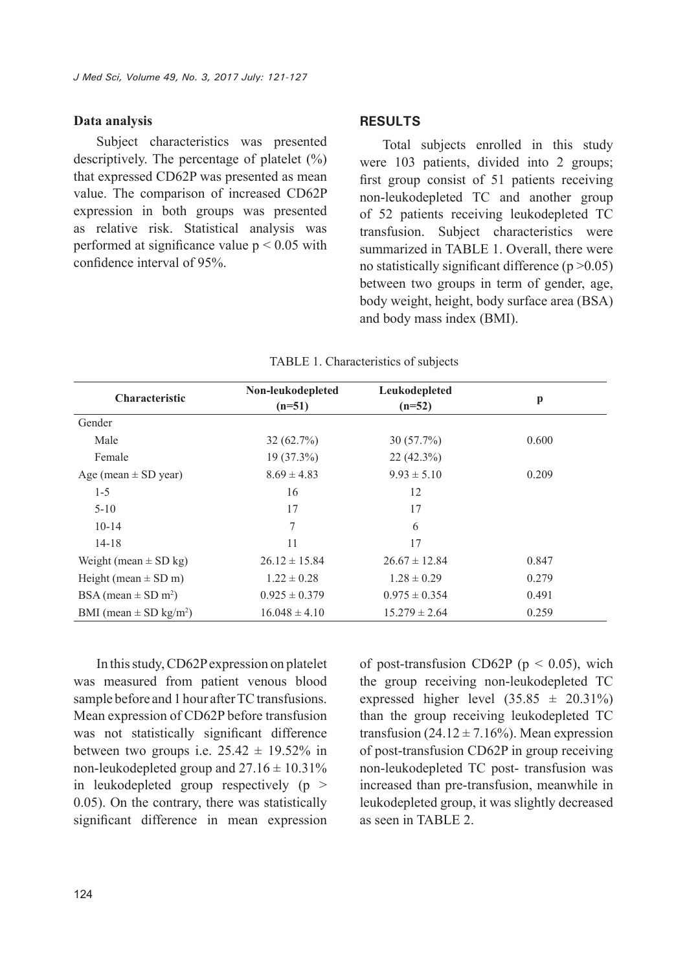#### **Data analysis**

Subject characteristics was presented descriptively. The percentage of platelet  $(\% )$ that expressed CD62P was presented as mean value. The comparison of increased CD62P expression in both groups was presented as relative risk. Statistical analysis was performed at significance value  $p < 0.05$  with confidence interval of 95%.

#### **RESULTS**

Total subjects enrolled in this study were 103 patients, divided into 2 groups; first group consist of 51 patients receiving non-leukodepleted TC and another group of 52 patients receiving leukodepleted TC transfusion. Subject characteristics were summarized in TABLE 1. Overall, there were no statistically significant difference  $(p > 0.05)$ between two groups in term of gender, age, body weight, height, body surface area (BSA) and body mass index (BMI).

| <b>Characteristic</b>                  | Non-leukodepleted<br>$(n=51)$ | Leukodepleted<br>$(n=52)$ | p     |
|----------------------------------------|-------------------------------|---------------------------|-------|
| Gender                                 |                               |                           |       |
| Male                                   | 32(62.7%)                     | $30(57.7\%)$              | 0.600 |
| Female                                 | $19(37.3\%)$                  | $22(42.3\%)$              |       |
| Age (mean $\pm$ SD year)               | $8.69 \pm 4.83$               | $9.93 \pm 5.10$           | 0.209 |
| $1 - 5$                                | 16                            | 12                        |       |
| $5 - 10$                               | 17                            | 17                        |       |
| $10-14$                                | 7                             | 6                         |       |
| $14 - 18$                              | 11                            | 17                        |       |
| Weight (mean $\pm$ SD kg)              | $26.12 \pm 15.84$             | $26.67 \pm 12.84$         | 0.847 |
| Height (mean $\pm$ SD m)               | $1.22 \pm 0.28$               | $1.28 \pm 0.29$           | 0.279 |
| BSA (mean $\pm$ SD m <sup>2</sup> )    | $0.925 \pm 0.379$             | $0.975 \pm 0.354$         | 0.491 |
| BMI (mean $\pm$ SD kg/m <sup>2</sup> ) | $16.048 \pm 4.10$             | $15.279 \pm 2.64$         | 0.259 |

TABLE 1. Characteristics of subjects

In this study, CD62P expression on platelet was measured from patient venous blood sample before and 1 hour after TC transfusions. Mean expression of CD62P before transfusion was not statistically significant difference between two groups i.e.  $25.42 \pm 19.52\%$  in non-leukodepleted group and  $27.16 \pm 10.31\%$ in leukodepleted group respectively  $(p >$ 0.05). On the contrary, there was statistically significant difference in mean expression of post-transfusion CD62P ( $p < 0.05$ ), wich the group receiving non-leukodepleted TC expressed higher level  $(35.85 \pm 20.31\%)$ than the group receiving leukodepleted TC transfusion (24.12  $\pm$  7.16%). Mean expression of post-transfusion CD62P in group receiving non-leukodepleted TC post- transfusion was increased than pre-transfusion, meanwhile in leukodepleted group, it was slightly decreased as seen in TABLE 2.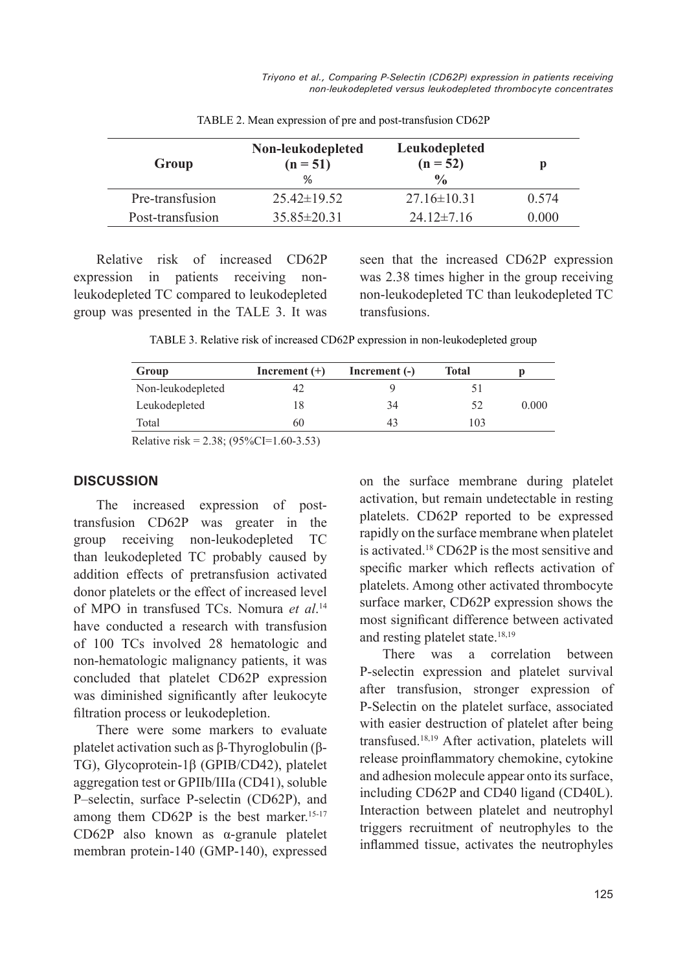*Triyono et al., Comparing P-Selectin (CD62P) expression in patients receiving non-leukodepleted versus leukodepleted thrombocyte concentrates*

| Group            | Non-leukodepleted<br>$(n = 51)$<br>$\%$ | Leukodepleted<br>$(n = 52)$<br>$\frac{0}{0}$ |       |
|------------------|-----------------------------------------|----------------------------------------------|-------|
| Pre-transfusion  | $25.42\pm19.52$                         | $27.16 \pm 10.31$                            | 0.574 |
| Post-transfusion | $35.85 \pm 20.31$                       | $24.12 \pm 7.16$                             | 0.000 |

TABLE 2. Mean expression of pre and post-transfusion CD62P

Relative risk of increased CD62P expression in patients receiving nonleukodepleted TC compared to leukodepleted group was presented in the TALE 3. It was

seen that the increased CD62P expression was 2.38 times higher in the group receiving non-leukodepleted TC than leukodepleted TC transfusions.

TABLE 3. Relative risk of increased CD62P expression in non-leukodepleted group

| Group                                                                                                                                                                                                                                                                                                                                        | Increment $(+)$ | Increment $(-)$ | Total |       |
|----------------------------------------------------------------------------------------------------------------------------------------------------------------------------------------------------------------------------------------------------------------------------------------------------------------------------------------------|-----------------|-----------------|-------|-------|
| Non-leukodepleted                                                                                                                                                                                                                                                                                                                            |                 |                 |       |       |
| Leukodepleted                                                                                                                                                                                                                                                                                                                                | 18              | 34              | 52    | 0.000 |
| Total                                                                                                                                                                                                                                                                                                                                        | 60              | 43              | 103   |       |
| $D_{\text{e}}1_{\text{e}}$ $\vdots$ $\vdots$ $\vdots$ $\vdots$ $\vdots$ $\vdots$ $\ddots$ $\vdots$ $\ddots$ $\ddots$ $\ddots$ $\ddots$ $\ddots$ $\ddots$ $\ddots$ $\ddots$ $\ddots$ $\ddots$ $\ddots$ $\ddots$ $\ddots$ $\ddots$ $\ddots$ $\ddots$ $\ddots$ $\ddots$ $\ddots$ $\ddots$ $\ddots$ $\ddots$ $\ddots$ $\ddots$ $\ddots$ $\ddots$ |                 |                 |       |       |

Relative risk = 2.38;  $(95\%CI=1.60-3.53)$ 

#### **DISCUSSION**

The increased expression of posttransfusion CD62P was greater in the group receiving non-leukodepleted TC than leukodepleted TC probably caused by addition effects of pretransfusion activated donor platelets or the effect of increased level of MPO in transfused TCs. Nomura *et al*. 14 have conducted a research with transfusion of 100 TCs involved 28 hematologic and non-hematologic malignancy patients, it was concluded that platelet CD62P expression was diminished significantly after leukocyte filtration process or leukodepletion.

There were some markers to evaluate platelet activation such as β-Thyroglobulin (β-TG), Glycoprotein-1β (GPIB/CD42), platelet aggregation test or GPIIb/IIIa (CD41), soluble P–selectin, surface P-selectin (CD62P), and among them  $CD62P$  is the best marker.<sup>15-17</sup> CD62P also known as α-granule platelet membran protein-140 (GMP-140), expressed

on the surface membrane during platelet activation, but remain undetectable in resting platelets. CD62P reported to be expressed rapidly on the surface membrane when platelet is activated.<sup>18</sup> CD62P is the most sensitive and specific marker which reflects activation of platelets. Among other activated thrombocyte surface marker, CD62P expression shows the most significant difference between activated and resting platelet state.18,19

There was a correlation between P-selectin expression and platelet survival after transfusion, stronger expression of P-Selectin on the platelet surface, associated with easier destruction of platelet after being transfused.18,19 After activation, platelets will release proinflammatory chemokine, cytokine and adhesion molecule appear onto its surface, including CD62P and CD40 ligand (CD40L). Interaction between platelet and neutrophyl triggers recruitment of neutrophyles to the inflammed tissue, activates the neutrophyles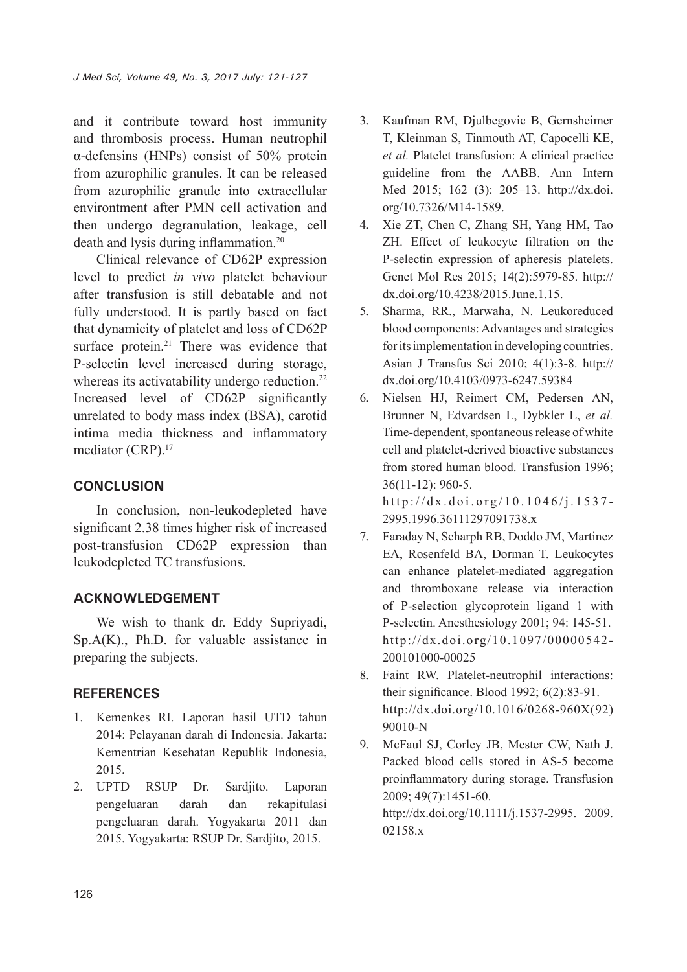and it contribute toward host immunity and thrombosis process. Human neutrophil α-defensins (HNPs) consist of 50% protein from azurophilic granules. It can be released from azurophilic granule into extracellular environtment after PMN cell activation and then undergo degranulation, leakage, cell death and lysis during inflammation.<sup>20</sup>

Clinical relevance of CD62P expression level to predict *in vivo* platelet behaviour after transfusion is still debatable and not fully understood. It is partly based on fact that dynamicity of platelet and loss of CD62P surface protein.<sup>21</sup> There was evidence that P-selectin level increased during storage, whereas its activatability undergo reduction.<sup>22</sup> Increased level of CD62P significantly unrelated to body mass index (BSA), carotid intima media thickness and inflammatory mediator (CRP).<sup>17</sup>

## **CONCLUSION**

In conclusion, non-leukodepleted have significant 2.38 times higher risk of increased post-transfusion CD62P expression than leukodepleted TC transfusions.

## **ACKNOWLEDGEMENT**

We wish to thank dr. Eddy Supriyadi, Sp.A(K)., Ph.D. for valuable assistance in preparing the subjects.

### **REFERENCES**

- 1. Kemenkes RI. Laporan hasil UTD tahun 2014: Pelayanan darah di Indonesia. Jakarta: Kementrian Kesehatan Republik Indonesia, 2015.
- 2. UPTD RSUP Dr. Sardjito. Laporan pengeluaran darah dan rekapitulasi pengeluaran darah. Yogyakarta 2011 dan 2015. Yogyakarta: RSUP Dr. Sardjito, 2015.
- 3. Kaufman RM, Djulbegovic B, Gernsheimer T, Kleinman S, Tinmouth AT, Capocelli KE, *et al.* Platelet transfusion: A clinical practice guideline from the AABB. Ann Intern Med 2015; 162 (3): 205–13. http://dx.doi. org/10.7326/M14-1589.
- 4. Xie ZT, Chen C, Zhang SH, Yang HM, Tao ZH. Effect of leukocyte filtration on the P-selectin expression of apheresis platelets. Genet Mol Res 2015; 14(2):5979-85. http:// dx.doi.org/10.4238/2015.June.1.15.
- 5. Sharma, RR., Marwaha, N. Leukoreduced blood components: Advantages and strategies for its implementation in developing countries. Asian J Transfus Sci 2010; 4(1):3-8. http:// dx.doi.org/10.4103/0973-6247.59384
- 6. Nielsen HJ, Reimert CM, Pedersen AN, Brunner N, Edvardsen L, Dybkler L, *et al.* Time-dependent, spontaneous release of white cell and platelet-derived bioactive substances from stored human blood. Transfusion 1996; 36(11-12): 960-5. http://dx.doi.org/10.1046/j.1537-

2995.1996.36111297091738.x

- 7. Faraday N, Scharph RB, Doddo JM, Martinez EA, Rosenfeld BA, Dorman T. Leukocytes can enhance platelet-mediated aggregation and thromboxane release via interaction of P-selection glycoprotein ligand 1 with P-selectin. Anesthesiology 2001; 94: 145-51. http://dx.doi.org/10.1097/00000542- 200101000-00025
- 8. Faint RW. Platelet-neutrophil interactions: their significance. Blood 1992; 6(2):83-91. http://dx.doi.org/10.1016/0268-960X(92) 90010-N
- 9. McFaul SJ, Corley JB, Mester CW, Nath J. Packed blood cells stored in AS-5 become proinflammatory during storage. Transfusion 2009; 49(7):1451-60. http://dx.doi.org/10.1111/j.1537-2995. 2009. 02158.x